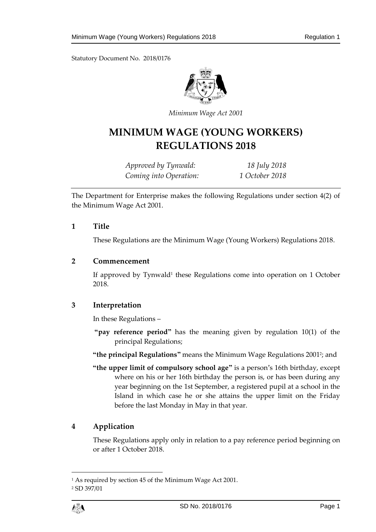

*Minimum Wage Act 2001*

# **MINIMUM WAGE (YOUNG WORKERS) REGULATIONS 2018**

*Approved by Tynwald: 18 July 2018 Coming into Operation: 1 October 2018*

The Department for Enterprise makes the following Regulations under section 4(2) of the Minimum Wage Act 2001.

## **1 Title**

These Regulations are the Minimum Wage (Young Workers) Regulations 2018.

## **2 Commencement**

If approved by Tynwald<sup>1</sup> these Regulations come into operation on 1 October 2018.

## **3 Interpretation**

In these Regulations –

**"pay reference period"** has the meaning given by regulation 10(1) of the principal Regulations;

**"the principal Regulations"** means the Minimum Wage Regulations 2001 2 ; and

**"the upper limit of compulsory school age"** is a person's 16th birthday, except where on his or her 16th birthday the person is, or has been during any year beginning on the 1st September, a registered pupil at a school in the Island in which case he or she attains the upper limit on the Friday before the last Monday in May in that year.

## **4 Application**

These Regulations apply only in relation to a pay reference period beginning on or after 1 October 2018.

 $\overline{a}$ 

<sup>1</sup> As required by section 45 of the Minimum Wage Act 2001.

<sup>2</sup> SD 397/01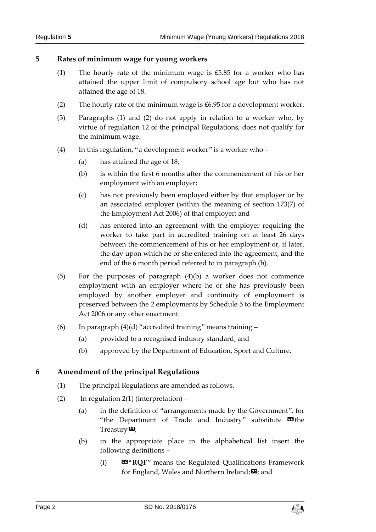## **5 Rates of minimum wage for young workers**

- (1) The hourly rate of the minimum wage is £5.85 for a worker who has attained the upper limit of compulsory school age but who has not attained the age of 18.
- (2) The hourly rate of the minimum wage is  $£6.95$  for a development worker.
- (3) Paragraphs (1) and (2) do not apply in relation to a worker who, by virtue of regulation 12 of the principal Regulations, does not qualify for the minimum wage.
- (4) In this regulation, "a development worker" is a worker who  $-$ 
	- (a) has attained the age of 18;
	- (b) is within the first 6 months after the commencement of his or her employment with an employer;
	- (c) has not previously been employed either by that employer or by an associated employer (within the meaning of section 173(7) of the Employment Act 2006) of that employer; and
	- (d) has entered into an agreement with the employer requiring the worker to take part in accredited training on at least 26 days between the commencement of his or her employment or, if later, the day upon which he or she entered into the agreement, and the end of the 6 month period referred to in paragraph (b).
- (5) For the purposes of paragraph (4)(b) a worker does not commence employment with an employer where he or she has previously been employed by another employer and continuity of employment is preserved between the 2 employments by Schedule 5 to the Employment Act 2006 or any other enactment.
- (6) In paragraph  $(4)(d)$  "accredited training" means training
	- (a) provided to a recognised industry standard; and
	- (b) approved by the Department of Education, Sport and Culture.

## **6 Amendment of the principal Regulations**

- (1) The principal Regulations are amended as follows.
- (2) In regulation  $2(1)$  (interpretation)
	- (a) in the definition of "arrangements made by the Government", for "the Department of Trade and Industry" substitute  $\blacksquare$  the  $T$ reasury $\boldsymbol{\mathsf{\Xi}}$ ;
	- (b) in the appropriate place in the alphabetical list insert the following definitions –
		- (i) «"**RQF**" means the Regulated Qualifications Framework for England, Wales and Northern Ireland; $\boldsymbol{\Xi}$ ; and

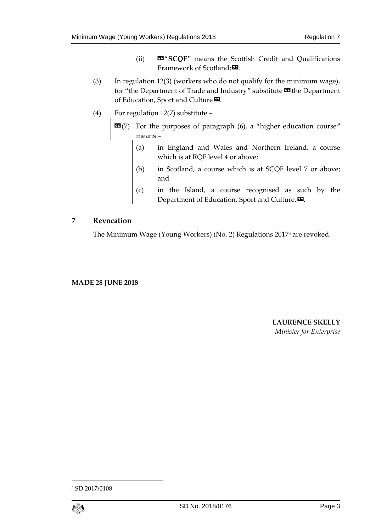- (ii) «"**SCQF**" means the Scottish Credit and Qualifications Framework of Scotland;
- (3) In regulation 12(3) (workers who do not qualify for the minimum wage), for "the Department of Trade and Industry" substitute **II** the Department of Education, Sport and Culture<sup>D</sup>.
- (4) For regulation 12(7) substitute
	- **EE**(7) For the purposes of paragraph (6), a "higher education course" means –
		- (a) in England and Wales and Northern Ireland, a course which is at RQF level 4 or above;
		- (b) in Scotland, a course which is at SCQF level 7 or above; and
		- (c) in the Island, a course recognised as such by the Department of Education, Sport and Culture.<sup>20</sup>.

#### **7 Revocation**

The Minimum Wage (Young Workers) (No. 2) Regulations 2017<sup>3</sup> are revoked.

#### **MADE 28 JUNE 2018**

**LAURENCE SKELLY** *Minister for Enterprise*

<sup>3</sup> SD 2017/0108



 $\overline{\phantom{a}}$